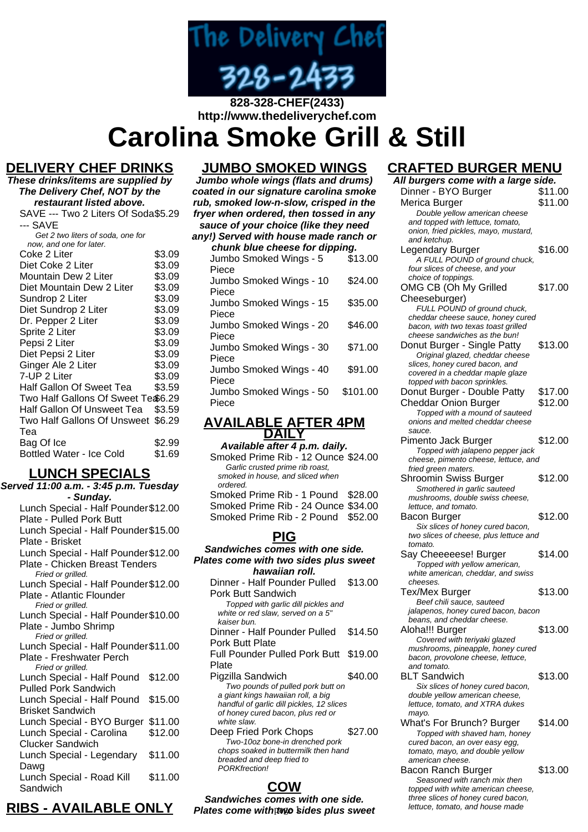

# **http://www.thedeliverychef.com Carolina Smoke Grill & Still**

# **DELIVERY CHEF DRINKS**

**These drinks/items are supplied by The Delivery Chef, NOT by the restaurant listed above.** SAVE --- Two 2 Liters Of Soda \$5.29 --- SAVE Get 2 two liters of soda, one for now, and one for later. Coke 2 Liter \$3.09<br>Diet Coke 2 Liter \$3.09 Diet Coke 2 Liter \$3.09<br>Mountain Dew 2 Liter \$3.09 Mountain Dew 2 Liter \$3.09<br>Diet Mountain Dew 2 Liter \$3.09 Diet Mountain Dew 2 Liter \$3.09<br>Sundrop 2 Liter \$3.09 Sundrop 2 Liter Diet Sundrop 2 Liter \$3.09 Dr. Pepper 2 Liter \$3.09 Sprite 2 Liter \$3.09 Pepsi 2 Liter \$3.09 Diet Pepsi 2 Liter \$3.09 Ginger Ale 2 Liter \$3.09 7-UP 2 Liter \$3.09 Half Gallon Of Sweet Tea \$3.59 Two Half Gallons Of Sweet Te \$6.29 Half Gallon Of Unsweet Tea \$3.59 Two Half Gallons Of Unsweet \$6.29 Tea Bag Of Ice \$2.99 Bottled Water - Ice Cold \$1.69

# **LUNCH SPECIALS**

**Served 11:00 a.m. - 3:45 p.m. Tuesday - Sunday.** Lunch Special - Half Pounder \$12.00 Plate - Pulled Pork Butt Lunch Special - Half Pounder \$15.00 Plate - Brisket Lunch Special - Half Pounder \$12.00 Plate - Chicken Breast Tenders Fried or grilled. Lunch Special - Half Pounder \$12.00 Plate - Atlantic Flounder Fried or grilled. Lunch Special - Half Pounder \$10.00 Plate - Jumbo Shrimp Fried or grilled. Lunch Special - Half Pounder \$11.00 Plate - Freshwater Perch Fried or grilled. Lunch Special - Half Pound \$12.00 Pulled Pork Sandwich Lunch Special - Half Pound \$15.00 Brisket Sandwich Lunch Special - BYO Burger \$11.00 Lunch Special - Carolina Clucker Sandwich \$12.00 Lunch Special - Legendary Dawg \$11.00 Lunch Special - Road Kill Sandwich \$11.00

### **JUMBO SMOKED WINGS**

**Jumbo whole wings (flats and drums) coated in our signature carolina smoke rub, smoked low-n-slow, crisped in the fryer when ordered, then tossed in any sauce of your choice (like they need**

#### **any!) Served with house made ranch or chunk blue cheese for dipping.**

| onann widd ondesod for alpping. |          |
|---------------------------------|----------|
| Jumbo Smoked Wings - 5          | \$13.00  |
| Piece                           |          |
| Jumbo Smoked Wings - 10         | \$24.00  |
| Piece                           |          |
| Jumbo Smoked Wings - 15         | \$35.00  |
| Piece                           |          |
| Jumbo Smoked Wings - 20         | \$46.00  |
| Piece                           |          |
| Jumbo Smoked Wings - 30         | \$71.00  |
| Piece                           |          |
| Jumbo Smoked Wings - 40         | \$91.00  |
| Piece                           |          |
| Jumbo Smoked Wings - 50         | \$101.00 |
| Piece                           |          |
|                                 |          |

### **AVAILABLE AFTER 4PM DAILY**

**Available after 4 p.m. daily.** Smoked Prime Rib - 12 Ounce \$24.00 Garlic crusted prime rib roast, smoked in house, and sliced when ordered. Smoked Prime Rib - 1 Pound \$28.00 Smoked Prime Rib - 24 Ounce \$34.00 Smoked Prime Rib - 2 Pound \$52.00

### **PIG**

**Sandwiches comes with one side. Plates come with two sides plus sweet hawaiian roll.** Dinner - Half Pounder Pulled \$13.00 Pork Butt Sandwich

Topped with garlic dill pickles and white or red slaw, served on a 5"

kaiser bun. Dinner - Half Pounder Pulled Pork Butt Plate \$14.50 Full Pounder Pulled Pork Butt \$19.00 Plate Pigzilla Sandwich  $$40.00$ Two pounds of pulled pork butt on a giant kings hawaiian roll, a big handful of garlic dill pickles, 12 slices of honey cured bacon, plus red or

white slaw. Deep Fried Pork Chops \$27.00 Two-10oz bone-in drenched pork chops soaked in buttermilk then hand breaded and deep fried to PORKfrection!

# **COW**

**Sandwiches comes with one side. Plates come with two sides plus sweet** lettuce, tomato, and house made

# **CRAFTED BURGER MENU**

| All burgers come with a large side.                                    |         |
|------------------------------------------------------------------------|---------|
| Dinner - BYO Burger                                                    | \$11.00 |
| Merica Burger                                                          | \$11.00 |
| Double yellow american cheese                                          |         |
| and topped with lettuce, tomato,                                       |         |
| onion, fried pickles, mayo, mustard,                                   |         |
| and ketchup.                                                           |         |
| Legendary Burger                                                       | \$16.00 |
| A FULL POUND of ground chuck,                                          |         |
| four slices of cheese, and your                                        |         |
| choice of toppings.                                                    |         |
| OMG CB (Oh My Grilled                                                  | \$17.00 |
| Cheeseburger)                                                          |         |
| FULL POUND of ground chuck,                                            |         |
| cheddar cheese sauce, honey cured                                      |         |
| bacon, with two texas toast grilled                                    |         |
| cheese sandwiches as the bun!                                          |         |
| Donut Burger - Single Patty                                            | \$13.00 |
| Original glazed, cheddar cheese                                        |         |
| slices, honey cured bacon, and                                         |         |
| covered in a cheddar maple glaze                                       |         |
| topped with bacon sprinkles.                                           |         |
| Donut Burger - Double Patty                                            | \$17.00 |
| <b>Cheddar Onion Burger</b>                                            | \$12.00 |
| Topped with a mound of sauteed                                         |         |
| onions and melted cheddar cheese<br>sauce.                             |         |
| Pimento Jack Burger                                                    | \$12.00 |
| Topped with jalapeno pepper jack                                       |         |
| cheese, pimento cheese, lettuce, and                                   |         |
| fried green maters.                                                    |         |
| <b>Shroomin Swiss Burger</b>                                           | \$12.00 |
| Smothered in garlic sauteed                                            |         |
|                                                                        |         |
| mushrooms, double swiss cheese,                                        |         |
| lettuce, and tomato.                                                   |         |
| Bacon Burger                                                           | \$12.00 |
| Six slices of honey cured bacon,                                       |         |
| two slices of cheese, plus lettuce and                                 |         |
| tomato.                                                                |         |
| Say Cheeeeese! Burger                                                  | \$14.00 |
| Topped with yellow american,                                           |         |
| white american, cheddar, and swiss                                     |         |
| cheeses.                                                               |         |
| <b>Tex/Mex Burger</b>                                                  | \$13.00 |
| Beef chili sauce, sauteed                                              |         |
| jalapenos, honey cured bacon, bacon                                    |         |
| beans, and cheddar cheese.                                             |         |
| Aloha!!! Burger                                                        | \$13.00 |
| Covered with teriyaki glazed                                           |         |
| mushrooms, pineapple, honey cured<br>bacon, provolone cheese, lettuce, |         |
| and tomato.                                                            |         |
| BLT Sandwich                                                           | \$13.00 |
| Six slices of honey cured bacon,                                       |         |
| double yellow american cheese,                                         |         |
| lettuce, tomato, and XTRA dukes                                        |         |
| mayo.                                                                  |         |
| What's For Brunch? Burger                                              | \$14.00 |
| Topped with shaved ham, honey                                          |         |
| cured bacon, an over easy egg,                                         |         |
| tomato, mayo, and double yellow                                        |         |
| american cheese.                                                       |         |
| Bacon Ranch Burger                                                     | \$13.00 |
| Seasoned with ranch mix then<br>topped with white american cheese,     |         |

**RIBS - AVAILABLE ONLY**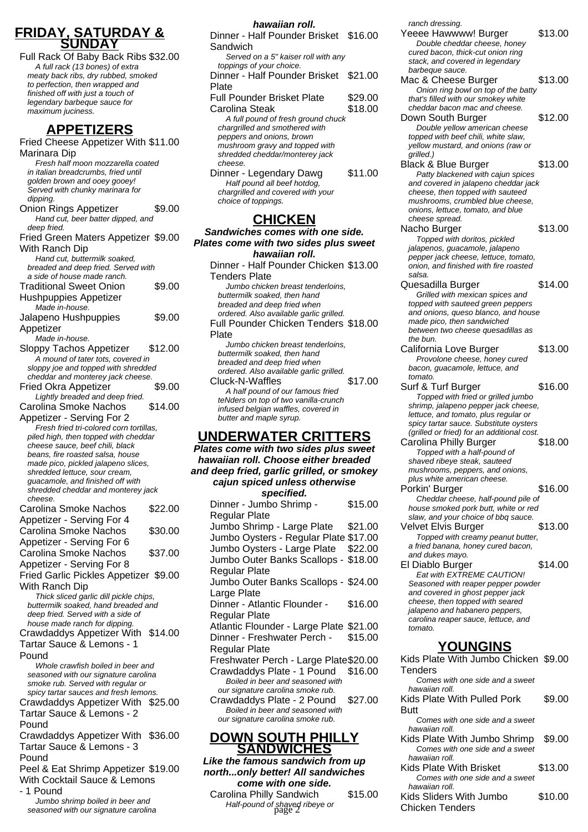### **FRIDAY, SATURDAY & SUNDAY**

Full Rack Of Baby Back Ribs \$32.00 A full rack (13 bones) of extra meaty back ribs, dry rubbed, smoked to perfection, then wrapped and finished off with just a touch of legendary barbeque sauce for maximum juciness.

# **APPETIZERS**

Fried Cheese Appetizer With \$11.00 Marinara Dip Fresh half moon mozzarella coated in italian breadcrumbs, fried until golden brown and ooey gooey! Served with chunky marinara for dipping. Onion Rings Appetizer \$9.00 Hand cut, beer batter dipped, and deep fried. Fried Green Maters Appetizer \$9.00 With Ranch Dip Hand cut, buttermilk soaked, breaded and deep fried. Served with a side of house made ranch. Traditional Sweet Onion Hushpuppies Appetizer \$9.00 Made in-house. Jalapeno Hushpuppies Appetizer \$9.00 Made in-house. Sloppy Tachos Appetizer \$12.00 A mound of tater tots, covered in sloppy joe and topped with shredded cheddar and monterey jack cheese. Fried Okra Appetizer \$9.00 Lightly breaded and deep fried. Carolina Smoke Nachos Appetizer - Serving For 2 \$14.00 Fresh fried tri-colored corn tortillas, piled high, then topped with cheddar cheese sauce, beef chili, black beans, fire roasted salsa, house made pico, pickled jalapeno slices, shredded lettuce, sour cream, guacamole, and finished off with shredded cheddar and monterey jack cheese. Carolina Smoke Nachos Appetizer - Serving For 4 \$22.00 Carolina Smoke Nachos Appetizer - Serving For 6 \$30.00 Carolina Smoke Nachos Appetizer - Serving For 8 \$37.00 Fried Garlic Pickles Appetizer \$9.00 With Ranch Dip Thick sliced garlic dill pickle chips, buttermilk soaked, hand breaded and deep fried. Served with a side of house made ranch for dipping. Crawdaddys Appetizer With \$14.00 Tartar Sauce & Lemons - 1 Pound Whole crawfish boiled in beer and seasoned with our signature carolina smoke rub. Served with regular or spicy tartar sauces and fresh lemons. Crawdaddys Appetizer With \$25.00 Tartar Sauce & Lemons - 2 Pound Crawdaddys Appetizer With \$36.00 Tartar Sauce & Lemons - 3 Pound Peel & Eat Shrimp Appetizer \$19.00 With Cocktail Sauce & Lemons - 1 Pound Jumbo shrimp boiled in beer and seasoned with our signature carolina

#### **hawaiian roll.**

| Dinner - Half Pounder Brisket<br>Sandwich                            | \$16.00 |
|----------------------------------------------------------------------|---------|
| Served on a 5" kaiser roll with any<br>toppings of your choice.      |         |
| Dinner - Half Pounder Brisket<br>Plate                               | \$21.00 |
| Full Pounder Brisket Plate                                           | \$29.00 |
| Carolina Steak                                                       | \$18.00 |
| A full pound of fresh ground chuck<br>chargrilled and smothered with |         |
| peppers and onions, brown                                            |         |
| mushroom gravy and topped with                                       |         |
| shredded cheddar/monterey jack<br>cheese.                            |         |
| Dinner - Legendary Dawg                                              | \$11.00 |
| Half pound all beef hotdog,<br>chargrilled and covered with your     |         |

### **CHICKEN**

choice of toppings.

**Sandwiches comes with one side. Plates come with two sides plus sweet hawaiian roll.**

Dinner - Half Pounder Chicken \$13.00 Tenders Plate Jumbo chicken breast tenderloins, buttermilk soaked, then hand breaded and deep fried when ordered. Also available garlic grilled. Full Pounder Chicken Tenders \$18.00 Plate Jumbo chicken breast tenderloins, buttermilk soaked, then hand breaded and deep fried when ordered. Also available garlic grilled. Cluck-N-Waffles \$17.00 A half pound of our famous fried teNders on top of two vanilla-crunch infused belgian waffles, covered in butter and maple syrup.

# **UNDERWATER CRITTERS**

#### **Plates come with two sides plus sweet hawaiian roll. Choose either breaded and deep fried, garlic grilled, or smokey cajun spiced unless otherwise specified.**

| specilieu.                              |         |
|-----------------------------------------|---------|
| Dinner - Jumbo Shrimp -                 | \$15.00 |
| Regular Plate                           |         |
| Jumbo Shrimp - Large Plate              | \$21.00 |
| Jumbo Oysters - Regular Plate \$17.00   |         |
| Jumbo Oysters - Large Plate             | \$22.00 |
| Jumbo Outer Banks Scallops -            | \$18.00 |
| Regular Plate                           |         |
| Jumbo Outer Banks Scallops - \$24.00    |         |
| Large Plate                             |         |
| Dinner - Atlantic Flounder -            | \$16.00 |
| Regular Plate                           |         |
| Atlantic Flounder - Large Plate \$21.00 |         |
| Dinner - Freshwater Perch -             | \$15.00 |
| Regular Plate                           |         |
| Freshwater Perch - Large Plate\$20.00   |         |
| Crawdaddys Plate - 1 Pound              | \$16.00 |
| Boiled in beer and seasoned with        |         |
| our signature carolina smoke rub.       |         |
| Crawdaddys Plate - 2 Pound              | \$27.00 |
| Boiled in beer and seasoned with        |         |
| our signature carolina smoke rub.       |         |

#### **DOWN SOUTH PHILLY SANDWICHES**

**Like the famous sandwich from up north...only better! All sandwiches come with one side.**

Carolina Philly Sandwich \$15.00 Half-pound of shaved ribeye or page 2

ranch dressing.

Yeeee Hawwww! Burger \$13.00 Double cheddar cheese, honey cured bacon, thick-cut onion ring stack, and covered in legendary barbeque sauce. Mac & Cheese Burger \$13.00 Onion ring bowl on top of the batty that's filled with our smokey white cheddar bacon mac and cheese. Down South Burger \$12.00 Double yellow american cheese topped with beef chili, white slaw, yellow mustard, and onions (raw or grilled.) Black & Blue Burger \$13.00 Patty blackened with cajun spices and covered in jalapeno cheddar jack cheese, then topped with sauteed mushrooms, crumbled blue cheese, onions, lettuce, tomato, and blue cheese spread. Nacho Burger \$13.00 Topped with doritos, pickled jalapenos, guacamole, jalapeno pepper jack cheese, lettuce, tomato, onion, and finished with fire roasted salsa. Quesadilla Burger \$14.00 Grilled with mexican spices and topped with sauteed green peppers and onions, queso blanco, and house made pico, then sandwiched between two cheese quesadillas as the bun. California Love Burger \$13.00 Provolone cheese, honey cured bacon, guacamole, lettuce, and tomato. Surf & Turf Burger \$16.00 Topped with fried or grilled jumbo shrimp, jalapeno pepper jack cheese, lettuce, and tomato, plus regular or spicy tartar sauce. Substitute oysters (grilled or fried) for an additional cost. Carolina Philly Burger \$18.00 Topped with a half-pound of shaved ribeye steak, sauteed mushrooms, peppers, and onions, plus white american cheese. Porkin' Burger \$16.00 Cheddar cheese, half-pound pile of house smoked pork butt, white or red slaw, and your choice of bbq sauce. Velvet Elvis Burger \$13.00 Topped with creamy peanut butter, a fried banana, honey cured bacon, and dukes mayo. El Diablo Burger \$14.00 Eat with EXTREME CAUTION! Seasoned with reaper pepper powder and covered in ghost pepper jack cheese, then topped with seared jalapeno and habanero peppers, carolina reaper sauce, lettuce, and tomato. **YOUNGINS** Kids Plate With Jumbo Chicken \$9.00 **Tenders** Comes with one side and a sweet hawaiian roll. Kids Plate With Pulled Pork Butt \$9.00 Comes with one side and a sweet hawaiian roll. Kids Plate With Jumbo Shrimp \$9.00 Comes with one side and a sweet hawaiian roll. Kids Plate With Brisket \$13.00 Comes with one side and a sweet hawaiian roll.

Kids Sliders With Jumbo Chicken Tenders \$10.00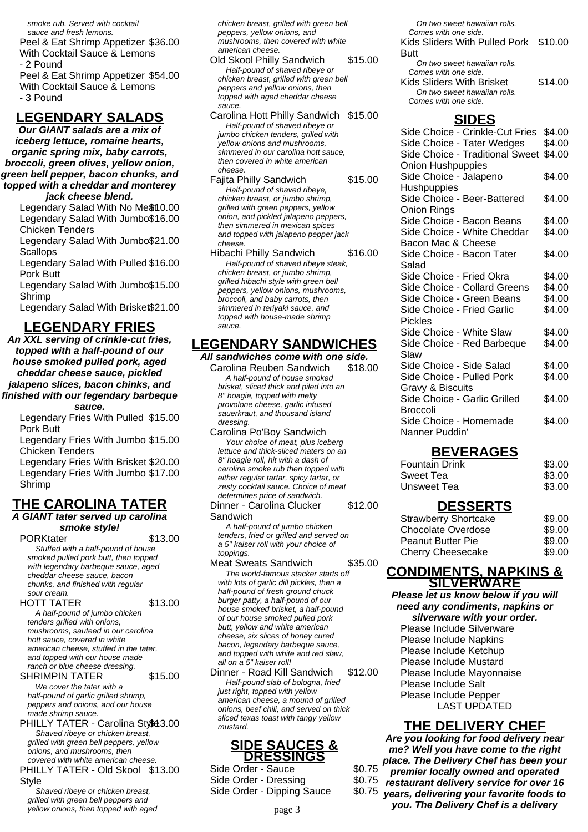smoke rub. Served with cocktail sauce and fresh lemons. Peel & Eat Shrimp Appetizer \$36.00 With Cocktail Sauce & Lemons - 2 Pound Peel & Eat Shrimp Appetizer \$54.00 With Cocktail Sauce & Lemons - 3 Pound

# **LEGENDARY SALADS**

**Our GIANT salads are a mix of iceberg lettuce, romaine hearts, organic spring mix, baby carrots, broccoli, green olives, yellow onion, green bell pepper, bacon chunks, and topped with a cheddar and monterey jack cheese blend.**

Legendary Salad With No Me\$t10.00 Legendary Salad With Jumbo \$16.00 Chicken Tenders

Legendary Salad With Jumbo \$21.00 **Scallops** 

Legendary Salad With Pulled \$16.00 Pork Butt

Legendary Salad With Jumbo \$15.00 Shrimp

Legendary Salad With Brisket\$21.00

### **LEGENDARY FRIES**

**An XXL serving of crinkle-cut fries, topped with a half-pound of our house smoked pulled pork, aged cheddar cheese sauce, pickled jalapeno slices, bacon chinks, and**

#### **finished with our legendary barbeque sauce.**

Legendary Fries With Pulled \$15.00 Pork Butt

Legendary Fries With Jumbo \$15.00 Chicken Tenders

Legendary Fries With Brisket \$20.00 Legendary Fries With Jumbo \$17.00 Shrimp

# **THE CAROLINA TATER**

# **A GIANT tater served up carolina**

**smoke style!** PORKtater \$13.00 Stuffed with a half-pound of house smoked pulled pork butt, then topped with legendary barbeque sauce, aged cheddar cheese sauce, bacon chunks, and finished with regular sour cream.

HOTT TATER \$13.00 A half-pound of jumbo chicken tenders grilled with onions, mushrooms, sauteed in our carolina hott sauce, covered in white american cheese, stuffed in the tater, and topped with our house made ranch or blue cheese dressing.

SHRIMPIN TATER \$15.00 We cover the tater with a half-pound of garlic grilled shrimp, peppers and onions, and our house

made shrimp sauce. PHILLY TATER - Carolina Stv843.00 Shaved ribeye or chicken breast, grilled with green bell peppers, yellow onions, and mushrooms, then covered with white american cheese.

PHILLY TATER - Old Skool \$13.00 Style

Shaved ribeye or chicken breast, grilled with green bell peppers and yellow onions, then topped with aged chicken breast, grilled with green bell peppers, yellow onions, and mushrooms, then covered with white american cheese.

Old Skool Philly Sandwich \$15.00 Half-pound of shaved ribeye or chicken breast, grilled with green bell peppers and yellow onions, then topped with aged cheddar cheese sauce.

Carolina Hott Philly Sandwich \$15.00 Half-pound of shaved ribeye or jumbo chicken tenders, grilled with yellow onions and mushrooms, simmered in our carolina hott sauce, then covered in white american cheese.

Fajita Philly Sandwich \$15.00 Half-pound of shaved ribeye, chicken breast, or jumbo shrimp, grilled with green peppers, yellow onion, and pickled jalapeno peppers, then simmered in mexican spices and topped with jalapeno pepper jack cheese.

Hibachi Philly Sandwich \$16.00 Half-pound of shaved ribeye steak, chicken breast, or jumbo shrimp, grilled hibachi style with green bell peppers, yellow onions, mushrooms, broccoli, and baby carrots, then simmered in teriyaki sauce, and topped with house-made shrimp sauce.

### **LEGENDARY SANDWICHES**

**All sandwiches come with one side.** Carolina Reuben Sandwich \$18.00

A half-pound of house smoked brisket, sliced thick and piled into an 8" hoagie, topped with melty provolone cheese, garlic infused sauerkraut, and thousand island dressing.

Carolina Po'Boy Sandwich Your choice of meat, plus iceberg lettuce and thick-sliced maters on an 8" hoagie roll, hit with a dash of carolina smoke rub then topped with either regular tartar, spicy tartar, or zesty cocktail sauce. Choice of meat determines price of sandwich. Dinner - Carolina Clucker \$12.00

**Sandwich** 

A half-pound of jumbo chicken tenders, fried or grilled and served on a 5" kaiser roll with your choice of toppings.

Meat Sweats Sandwich \$35.00 The world-famous stacker starts off with lots of garlic dill pickles, then a half-pound of fresh ground chuck burger patty, a half-pound of our house smoked brisket, a half-pound of our house smoked pulled pork butt, yellow and white american cheese, six slices of honey cured bacon, legendary barbeque sauce, and topped with white and red slaw, all on a 5" kaiser roll!

Dinner - Road Kill Sandwich \$12.00 Half-pound slab of bologna, fried just right, topped with yellow american cheese, a mound of grilled onions, beef chili, and served on thick sliced texas toast with tangy yellow mustard.

#### **SIDE SAUCES & DRESSINGS**

Side Order - Sauce \$0.75 Side Order - Dressing  $$0.75$ Side Order - Dipping Sauce \$0.75

On two sweet hawaiian rolls. Comes with one side. Kids Sliders With Pulled Pork Butt \$10.00 On two sweet hawaiian rolls. Comes with one side. Kids Sliders With Brisket \$14.00 On two sweet hawaiian rolls. Comes with one side.

### **SIDES**

Side Choice - Crinkle-Cut Fries \$4.00 Side Choice - Tater Wedges \$4.00 Side Choice - Traditional Sweet \$4.00 Onion Hushpuppies Side Choice - Jalapeno **Hushpuppies** \$4.00 Side Choice - Beer-Battered Onion Rings \$4.00 Side Choice - Bacon Beans \$4.00 Side Choice - White Cheddar Bacon Mac & Cheese \$4.00 Side Choice - Bacon Tater Salad \$4.00 Side Choice - Fried Okra \$4.00 Side Choice - Collard Greens \$4.00 Side Choice - Green Beans \$4.00 Side Choice - Fried Garlic Pickles \$4.00 Side Choice - White Slaw \$4.00 Side Choice - Red Barbeque Slaw \$4.00 Side Choice - Side Salad \$4.00 Side Choice - Pulled Pork Gravy & Biscuits \$4.00 Side Choice - Garlic Grilled Broccoli \$4.00 Side Choice - Homemade Nanner Puddin' \$4.00

# **BEVERAGES**

| Fountain Drink | \$3.00 |
|----------------|--------|
| Sweet Tea      | \$3.00 |
| Unsweet Tea    | \$3.00 |

# **DESSERTS**

| <b>Strawberry Shortcake</b> | \$9.00 |
|-----------------------------|--------|
| Chocolate Overdose          | \$9.00 |
| <b>Peanut Butter Pie</b>    | \$9.00 |
| Cherry Cheesecake           | \$9.00 |
|                             |        |

### **CONDIMENTS, NAPKINS & SILVERWARE**

**Please let us know below if you will need any condiments, napkins or silverware with your order.**

Please Include Silverware Please Include Napkins Please Include Ketchup Please Include Mustard Please Include Mayonnaise Please Include Salt Please Include Pepper LAST UPDATED

# **THE DELIVERY CHEF**

**Are you looking for food delivery near me? Well you have come to the right place. The Delivery Chef has been your premier locally owned and operated restaurant delivery service for over 16 years, delivering your favorite foods to** page 3 **you. The Delivery Chef is a delivery**